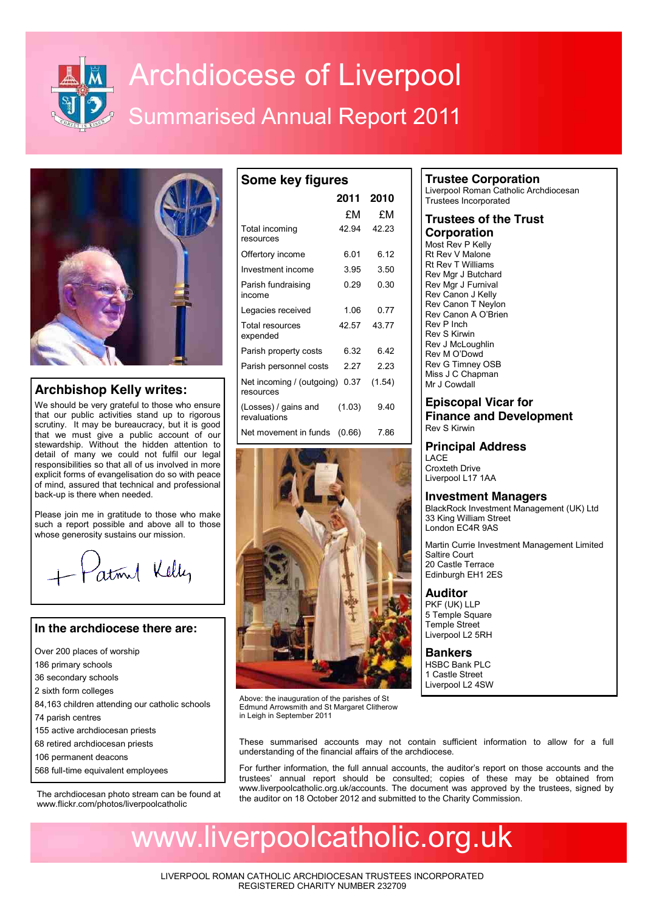

# **Archdiocese of Liverpool** Summarised Annual Report 2011

**Some key figures**



## **Archbishop Kelly writes:**

We should be very grateful to those who ensure that our public activities stand up to rigorous scrutiny. It may be bureaucracy, but it is good that we must give a public account of our stewardship. Without the hidden attention to detail of many we could not fulfil our legal responsibilities so that all of us involved in more explicit forms of evangelisation do so with peace of mind, assured that technical and professional back-up is there when needed.

Please join me in gratitude to those who make such a report possible and above all to those whose generosity sustains our mission.

atomal Kelly

## **In the archdiocese there are:**

- Over 200 places of worship
- 186 primary schools
- 36 secondary schools
- 2 sixth form colleges
- 84,163 children attending our catholic schools
- 74 parish centres
- 155 active archdiocesan priests
- 68 retired archdiocesan priests
- 106 permanent deacons
- 568 full-time equivalent employees

The archdiocesan photo stream can be found at www.flickr.com/photos/liverpoolcatholic

|                                        | 2011   | 2010   |  |
|----------------------------------------|--------|--------|--|
|                                        | £Μ     | £Μ     |  |
| Total incoming<br>resources            | 42.94  | 42.23  |  |
| Offertory income                       | 6.01   | 6.12   |  |
| Investment income                      | 3.95   | 3.50   |  |
| Parish fundraising<br>income           | 0.29   | 0.30   |  |
| Legacies received                      | 1.06   | 0.77   |  |
| Total resources<br>expended            | 42.57  | 4377   |  |
| Parish property costs                  | 6.32   | 6.42   |  |
| Parish personnel costs                 | 2 27   | 2.23   |  |
| Net incoming / (outgoing)<br>resources | 0.37   | (1.54) |  |
| (Losses) / gains and<br>revaluations   | (1.03) | 9.40   |  |
| Net movement in funds                  | (0.66) | 7.86   |  |



Above: the inauguration of the parishes of St Edmund Arrowsmith and St Margaret Clitherow in Leigh in September 2011

## **Trustee Corporation**

Liverpool Roman Catholic Archdiocesan Trustees Incorporated

#### **Trustees of the Trust Corporation**

Most Rev P Kelly Rt Rev V Malone Rt Rev T Williams Rev Mar J Butchard Rev Mgr J Furnival Rev Canon J Kelly Rev Canon T Neylon Rev Canon A O'Brien Rev P Inch Rev S Kirwin Rev J McLoughlin Rev M O'Dowd Rev G Timney OSB Miss J C Chapman Mr J Cowdall

## **Episcopal Vicar for Finance and Development**

Rev S Kirwin

## **Principal Address**

**LACF** Croxteth Drive Liverpool L17 1AA

## **Investment Managers**

BlackRock Investment Management (UK) Ltd 33 King William Street London EC4R 9AS

Martin Currie Investment Management Limited Saltire Court 20 Castle Terrace Edinburgh EH1 2ES

## **Auditor**

PKF (UK) LLP 5 Temple Square Temple Street Liverpool L2 5RH

**Bankers** HSBC Bank PLC 1 Castle Street Liverpool L2 4SW

These summarised accounts may not contain sufficient information to allow for a full understanding of the financial affairs of the archdiocese.

For further information, the full annual accounts, the auditor's report on those accounts and the trustees' annual report should be consulted; copies of these may be obtained from www.liverpoolcatholic.org.uk/accounts. The document was approved by the trustees, signed by the auditor on 18 October 2012 and submitted to the Charity Commission.

## www.liverpoolcatholic.org.uk

LIVERPOOL ROMAN CATHOLIC ARCHDIOCESAN TRUSTEES INCORPORATED REGISTERED CHARITY NUMBER 232709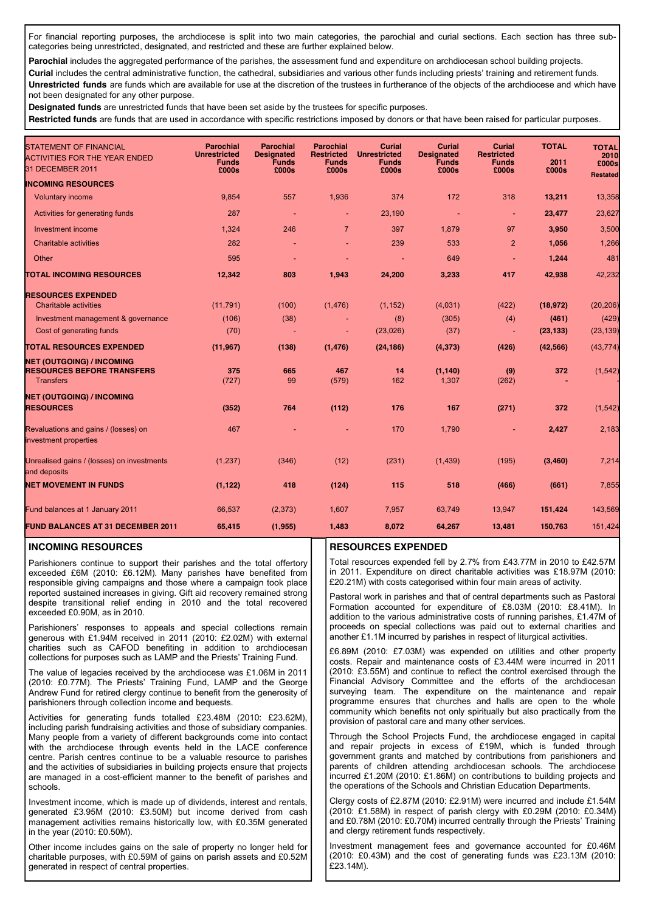For financial reporting purposes, the archdiocese is split into two main categories, the parochial and curial sections. Each section has three subcategories being unrestricted, designated, and restricted and these are further explained below.

Parochial includes the aggregated performance of the parishes, the assessment fund and expenditure on archdiocesan school building projects.

**Curial** includes the central administrative function, the cathedral, subsidiaries and various other funds including priests' training and retirement funds. **Unrestricted funds** are funds which are available for use at the discretion of the trustees in furtherance of the objects of the archdiocese and which have not been designated for any other purpose.

**Designated funds** are unrestricted funds that have been set aside by the trustees for specific purposes.

**Restricted funds** are funds that are used in accordance with specific restrictions imposed by donors or that have been raised for particular purposes.

| <b>STATEMENT OF FINANCIAL</b><br><b>ACTIVITIES FOR THE YEAR ENDED</b> | <b>Parochial</b><br><b>Unrestricted</b> | <b>Parochial</b><br><b>Designated</b><br><b>Funds</b> | <b>Parochial</b><br><b>Restricted</b> | <b>Curial</b><br><b>Unrestricted</b> | <b>Curial</b><br><b>Designated</b> | <b>Curial</b><br><b>Restricted</b> | <b>TOTAL</b><br>2011 | <b>TOTAL</b><br>2010     |
|-----------------------------------------------------------------------|-----------------------------------------|-------------------------------------------------------|---------------------------------------|--------------------------------------|------------------------------------|------------------------------------|----------------------|--------------------------|
| 31 DECEMBER 2011                                                      | <b>Funds</b><br>£000s                   | £000s                                                 | <b>Funds</b><br>£000s                 | <b>Funds</b><br>£000s                | <b>Funds</b><br>£000s              | <b>Funds</b><br>£000s              | £000s                | £000s<br><b>Restated</b> |
| <b>INCOMING RESOURCES</b>                                             |                                         |                                                       |                                       |                                      |                                    |                                    |                      |                          |
| <b>Voluntary income</b>                                               | 9,854                                   | 557                                                   | 1,936                                 | 374                                  | 172                                | 318                                | 13,211               | 13,358                   |
| Activities for generating funds                                       | 287                                     |                                                       | $\blacksquare$                        | 23,190                               | ÷                                  | ÷                                  | 23,477               | 23,627                   |
| <b>Investment income</b>                                              | 1,324                                   | 246                                                   | $\overline{7}$                        | 397                                  | 1,879                              | 97                                 | 3,950                | 3,500                    |
| <b>Charitable activities</b>                                          | 282                                     |                                                       |                                       | 239                                  | 533                                | $\overline{2}$                     | 1,056                | 1,266                    |
| Other                                                                 | 595                                     |                                                       |                                       |                                      | 649                                |                                    | 1,244                | 481                      |
| <b>TOTAL INCOMING RESOURCES</b>                                       | 12,342                                  | 803                                                   | 1,943                                 | 24,200                               | 3,233                              | 417                                | 42,938               | 42,232                   |
| <b>RESOURCES EXPENDED</b>                                             |                                         |                                                       |                                       |                                      |                                    |                                    |                      |                          |
| <b>Charitable activities</b>                                          | (11, 791)                               | (100)                                                 | (1, 476)                              | (1, 152)                             | (4,031)                            | (422)                              | (18, 972)            | (20, 206)                |
| Investment management & governance                                    | (106)                                   | (38)                                                  |                                       | (8)                                  | (305)                              | (4)                                | (461)                | (429)                    |
| Cost of generating funds                                              | (70)                                    |                                                       | ٠                                     | (23,026)                             | (37)                               | $\blacksquare$                     | (23, 133)            | (23, 139)                |
| <b>TOTAL RESOURCES EXPENDED</b>                                       | (11, 967)                               | (138)                                                 | (1, 476)                              | (24, 186)                            | (4, 373)                           | (426)                              | (42, 566)            | (43, 774)                |
| <b>NET (OUTGOING) / INCOMING</b>                                      |                                         |                                                       |                                       |                                      |                                    |                                    |                      |                          |
| <b>RESOURCES BEFORE TRANSFERS</b><br><b>Transfers</b>                 | 375<br>(727)                            | 665<br>99                                             | 467<br>(579)                          | 14<br>162                            | (1, 140)<br>1,307                  | (9)<br>(262)                       | 372                  | (1, 542)                 |
| <b>NET (OUTGOING) / INCOMING</b>                                      |                                         |                                                       |                                       |                                      |                                    |                                    |                      |                          |
| <b>RESOURCES</b>                                                      | (352)                                   | 764                                                   | (112)                                 | 176                                  | 167                                | (271)                              | 372                  | (1, 542)                 |
| Revaluations and gains / (losses) on<br>investment properties         | 467                                     |                                                       |                                       | 170                                  | 1,790                              | ٠                                  | 2,427                | 2,183                    |
| Unrealised gains / (losses) on investments<br>and deposits            | (1, 237)                                | (346)                                                 | (12)                                  | (231)                                | (1, 439)                           | (195)                              | (3, 460)             | 7,214                    |
| <b>NET MOVEMENT IN FUNDS</b>                                          | (1, 122)                                | 418                                                   | (124)                                 | 115                                  | 518                                | (466)                              | (661)                | 7,855                    |
| Fund balances at 1 January 2011                                       | 66,537                                  | (2, 373)                                              | 1,607                                 | 7,957                                | 63,749                             | 13,947                             | 151,424              | 143,569                  |
| <b>FUND BALANCES AT 31 DECEMBER 2011</b>                              | 65,415                                  | (1, 955)                                              | 1,483                                 | 8,072                                | 64,267                             | 13,481                             | 150,763              | 151,424                  |

#### **INCOMING RESOURCES**

Parishioners continue to support their parishes and the total offertory exceeded £6M (2010: £6.12M). Many parishes have benefited from responsible giving campaigns and those where a campaign took place reported sustained increases in giving. Gift aid recovery remained strong despite transitional relief ending in 2010 and the total recovered exceeded £0.90M, as in 2010.

Parishioners' responses to appeals and special collections remain generous with £1.94M received in 2011 (2010: £2.02M) with external charities such as CAFOD benefiting in addition to archdiocesan collections for purposes such as LAMP and the Priests' Training Fund.

The value of legacies received by the archdiocese was £1.06M in 2011 (2010: £0.77M). The Priests' Training Fund, LAMP and the George Andrew Fund for retired clergy continue to benefit from the generosity of parishioners through collection income and bequests.

Activities for generating funds totalled £23.48M (2010: £23.62M), including parish fundraising activities and those of subsidiary companies. Many people from a variety of different backgrounds come into contact with the archdiocese through events held in the LACE conference centre. Parish centres continue to be a valuable resource to parishes and the activities of subsidiaries in building projects ensure that projects are managed in a cost-efficient manner to the benefit of parishes and schools.

Investment income, which is made up of dividends, interest and rentals, generated £3.95M (2010: £3.50M) but income derived from cash management activities remains historically low, with £0.35M generated in the year (2010: £0.50M).

Other income includes gains on the sale of property no longer held for charitable purposes, with £0.59M of gains on parish assets and £0.52M generated in respect of central properties.

#### **RESOURCES EXPENDED**

Total resources expended fell by 2.7% from £43.77M in 2010 to £42.57M in 2011. Expenditure on direct charitable activities was £18.97M (2010: £20.21M) with costs categorised within four main areas of activity.

Pastoral work in parishes and that of central departments such as Pastoral Formation accounted for expenditure of £8.03M (2010: £8.41M). In addition to the various administrative costs of running parishes, £1.47M of proceeds on special collections was paid out to external charities and another £1.1M incurred by parishes in respect of liturgical activities.

£6.89M (2010: £7.03M) was expended on utilities and other property costs. Repair and maintenance costs of £3.44M were incurred in 2011 (2010: £3.55M) and continue to reflect the control exercised through the Financial Advisory Committee and the efforts of the archdiocesan surveying team. The expenditure on the maintenance and repair programme ensures that churches and halls are open to the whole community which benefits not only spiritually but also practically from the provision of pastoral care and many other services.

Through the School Projects Fund, the archdiocese engaged in capital and repair projects in excess of £19M, which is funded through government grants and matched by contributions from parishioners and parents of children attending archdiocesan schools. The archdiocese incurred £1.20M (2010: £1.86M) on contributions to building projects and the operations of the Schools and Christian Education Departments.

Clergy costs of £2.87M (2010: £2.91M) were incurred and include £1.54M (2010: £1.58M) in respect of parish clergy with £0.29M (2010: £0.34M) and £0.78M (2010: £0.70M) incurred centrally through the Priests' Training and clergy retirement funds respectively.

Investment management fees and governance accounted for £0.46M (2010: £0.43M) and the cost of generating funds was £23.13M (2010: £23.14M).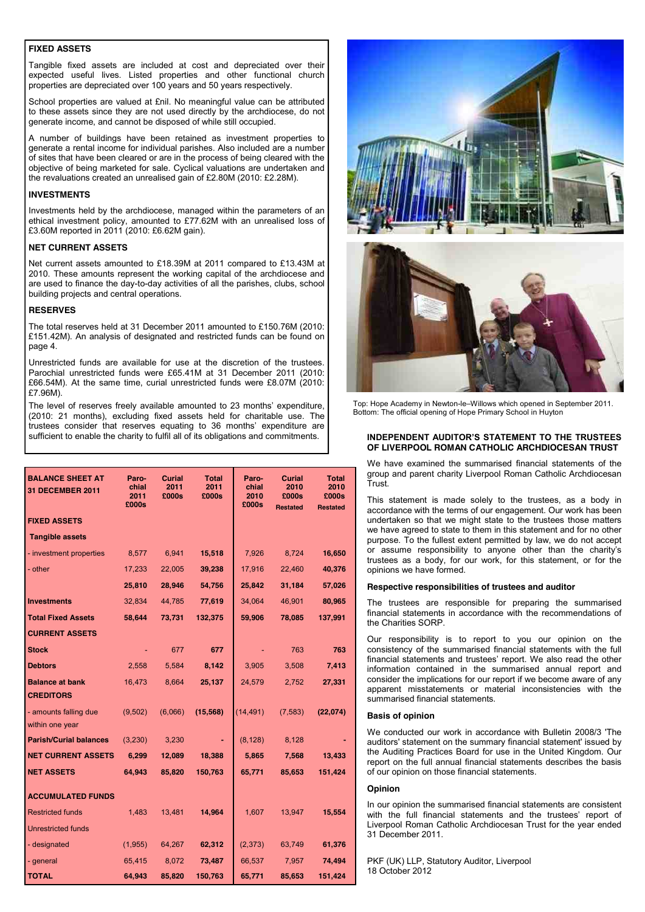#### **FIXED ASSETS**

Tangible fixed assets are included at cost and depreciated over their expected useful lives. Listed properties and other functional church properties are depreciated over 100 years and 50 years respectively.

School properties are valued at £nil. No meaningful value can be attributed to these assets since they are not used directly by the archdiocese, do not generate income, and cannot be disposed of while still occupied.

A number of buildings have been retained as investment properties to generate a rental income for individual parishes. Also included are a number of sites that have been cleared or are in the process of being cleared with the objective of being marketed for sale. Cyclical valuations are undertaken and the revaluations created an unrealised gain of £2.80M (2010: £2.28M).

#### **INVESTMENTS**

Investments held by the archdiocese, managed within the parameters of an ethical investment policy, amounted to £77.62M with an unrealised loss of £3.60M reported in 2011 (2010: £6.62M gain).

#### **NET CURRENT ASSETS**

Net current assets amounted to £18.39M at 2011 compared to £13.43M at 2010. These amounts represent the working capital of the archdiocese and are used to finance the day-to-day activities of all the parishes, clubs, school building projects and central operations.

#### **RESERVES**

The total reserves held at 31 December 2011 amounted to £150.76M (2010: £151.42M). An analysis of designated and restricted funds can be found on page 4.

Unrestricted funds are available for use at the discretion of the trustees. Parochial unrestricted funds were £65.41M at 31 December 2011 (2010: £66.54M). At the same time, curial unrestricted funds were £8.07M (2010: £7.96M).

The level of reserves freely available amounted to 23 months' expenditure, (2010: 21 months), excluding fixed assets held for charitable use. The trustees consider that reserves equating to 36 months' expenditure are sufficient to enable the charity to fulfil all of its obligations and commitments.

| <b>BALANCE SHEET AT</b><br><b>31 DECEMBER 2011</b> | Paro-<br>chial<br>2011<br>£000s | <b>Curial</b><br>2011<br>£000s | Total<br>2011<br>£000s | Paro-<br>chial<br>2010<br>£000s | <b>Curial</b><br>2010<br>£000s<br><b>Restated</b> | Total<br>2010<br>£000s<br><b>Restated</b> |
|----------------------------------------------------|---------------------------------|--------------------------------|------------------------|---------------------------------|---------------------------------------------------|-------------------------------------------|
| <b>FIXED ASSETS</b>                                |                                 |                                |                        |                                 |                                                   |                                           |
| <b>Tangible assets</b>                             |                                 |                                |                        |                                 |                                                   |                                           |
| - investment properties                            | 8,577                           | 6,941                          | 15,518                 | 7,926                           | 8,724                                             | 16,650                                    |
| - other                                            | 17,233                          | 22,005                         | 39,238                 | 17,916                          | 22,460                                            | 40,376                                    |
|                                                    | 25,810                          | 28,946                         | 54,756                 | 25,842                          | 31,184                                            | 57,026                                    |
| <b>Investments</b>                                 | 32,834                          | 44,785                         | 77,619                 | 34,064                          | 46,901                                            | 80,965                                    |
| <b>Total Fixed Assets</b>                          | 58,644                          | 73,731                         | 132,375                | 59,906                          | 78,085                                            | 137,991                                   |
| <b>CURRENT ASSETS</b>                              |                                 |                                |                        |                                 |                                                   |                                           |
| <b>Stock</b>                                       |                                 | 677                            | 677                    |                                 | 763                                               | 763                                       |
| <b>Debtors</b>                                     | 2,558                           | 5,584                          | 8,142                  | 3,905                           | 3,508                                             | 7,413                                     |
| <b>Balance at bank</b>                             | 16,473                          | 8,664                          | 25,137                 | 24,579                          | 2,752                                             | 27,331                                    |
| <b>CREDITORS</b>                                   |                                 |                                |                        |                                 |                                                   |                                           |
| - amounts falling due<br>within one year           | (9, 502)                        | (6,066)                        | (15, 568)              | (14, 491)                       | (7, 583)                                          | (22,074)                                  |
| <b>Parish/Curial balances</b>                      | (3,230)                         | 3,230                          |                        | (8, 128)                        | 8,128                                             |                                           |
| <b>NET CURRENT ASSETS</b>                          | 6,299                           | 12,089                         | 18,388                 | 5,865                           | 7,568                                             | 13,433                                    |
| <b>NET ASSETS</b>                                  | 64,943                          | 85,820                         | 150,763                | 65,771                          | 85,653                                            | 151,424                                   |
| <b>ACCUMULATED FUNDS</b>                           |                                 |                                |                        |                                 |                                                   |                                           |
| <b>Restricted funds</b>                            | 1,483                           | 13,481                         | 14,964                 | 1,607                           | 13,947                                            | 15,554                                    |
| <b>Unrestricted funds</b>                          |                                 |                                |                        |                                 |                                                   |                                           |
| - designated                                       | (1,955)                         | 64,267                         | 62,312                 | (2, 373)                        | 63,749                                            | 61,376                                    |
| - general                                          | 65,415                          | 8,072                          | 73,487                 | 66,537                          | 7,957                                             | 74,494                                    |
| <b>TOTAL</b>                                       | 64,943                          | 85,820                         | 150,763                | 65,771                          | 85,653                                            | 151,424                                   |





Top: Hope Academy in Newton-le–Willows which opened in September 2011. Bottom: The official opening of Hope Primary School in Huyton

#### **INDEPENDENT AUDITOR'S STATEMENT TO THE TRUSTEES OF LIVERPOOL ROMAN CATHOLIC ARCHDIOCESAN TRUST**

We have examined the summarised financial statements of the group and parent charity Liverpool Roman Catholic Archdiocesan Trust.

This statement is made solely to the trustees, as a body in accordance with the terms of our engagement. Our work has been undertaken so that we might state to the trustees those matters we have agreed to state to them in this statement and for no other purpose. To the fullest extent permitted by law, we do not accept or assume responsibility to anyone other than the charity's trustees as a body, for our work, for this statement, or for the opinions we have formed.

#### **Respective responsibilities of trustees and auditor**

The trustees are responsible for preparing the summarised financial statements in accordance with the recommendations of the Charities SORP.

Our responsibility is to report to you our opinion on the consistency of the summarised financial statements with the full financial statements and trustees' report. We also read the other information contained in the summarised annual report and consider the implications for our report if we become aware of any apparent misstatements or material inconsistencies with the summarised financial statements.

#### **Basis of opinion**

We conducted our work in accordance with Bulletin 2008/3 'The auditors' statement on the summary financial statement' issued by the Auditing Practices Board for use in the United Kingdom. Our report on the full annual financial statements describes the basis of our opinion on those financial statements.

#### **Opinion**

In our opinion the summarised financial statements are consistent with the full financial statements and the trustees' report of Liverpool Roman Catholic Archdiocesan Trust for the year ended 31 December 2011.

PKF (UK) LLP, Statutory Auditor, Liverpool 18 October 2012